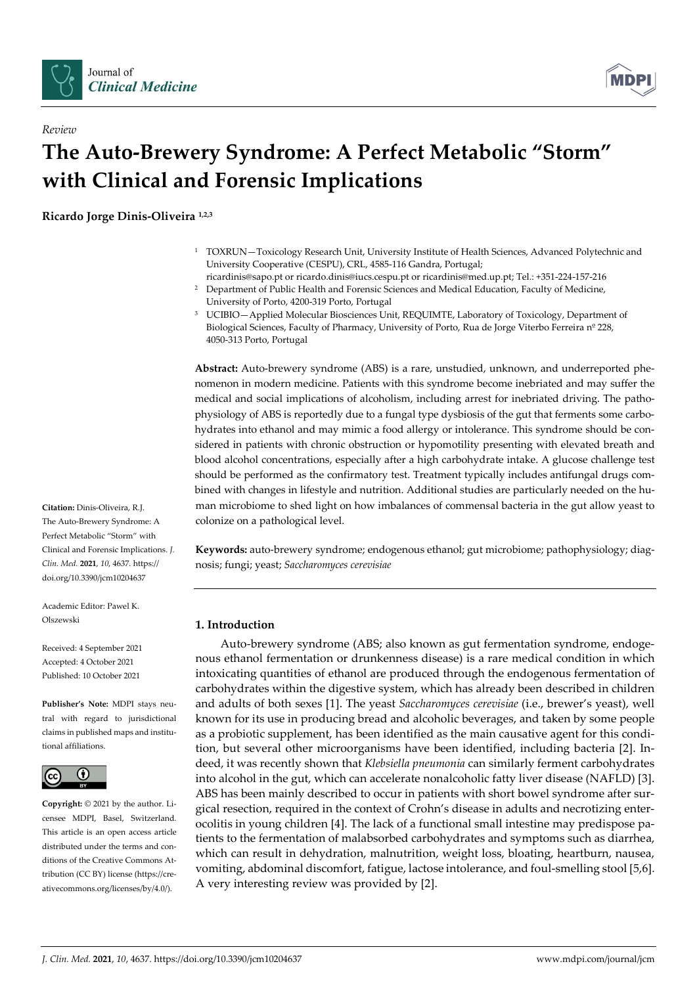

 $R$ *errierr* 



# The Auto-Brewery Syndrome: A Perfect Metabolic "Storm" with Clinical and Forensic Implications

Ricardo Jorge Dinis-Oliveira 1,2,3

- 1 TOXRUN—Toxicology Research Unit, University Institute of Health Sciences, Advanced Polytechnic and University Cooperative (CESPU), CRL, 4585-116 Gandra, Portugal;
- ricardinis@sapo.pt or ricardo.dinis@iucs.cespu.pt or ricardinis@med.up.pt; Tel.: +351-224-157-216 <sup>2</sup> Department of Public Health and Forensic Sciences and Medical Education, Faculty of Medicine, University of Porto, 4200-319 Porto, Portugal
- 3 UCIBIO—Applied Molecular Biosciences Unit, REQUIMTE, Laboratory of Toxicology, Department of Biological Sciences, Faculty of Pharmacy, University of Porto, Rua de Jorge Viterbo Ferreira nº 228, 4050-313 Porto, Portugal

Abstract: Auto-brewery syndrome (ABS) is a rare, unstudied, unknown, and underreported phenomenon in modern medicine. Patients with this syndrome become inebriated and may suffer the medical and social implications of alcoholism, including arrest for inebriated driving. The pathophysiology of ABS is reportedly due to a fungal type dysbiosis of the gut that ferments some carbohydrates into ethanol and may mimic a food allergy or intolerance. This syndrome should be considered in patients with chronic obstruction or hypomotility presenting with elevated breath and blood alcohol concentrations, especially after a high carbohydrate intake. A glucose challenge test should be performed as the confirmatory test. Treatment typically includes antifungal drugs combined with changes in lifestyle and nutrition. Additional studies are particularly needed on the human microbiome to shed light on how imbalances of commensal bacteria in the gut allow yeast to colonize on a pathological level.

Keywords: auto-brewery syndrome; endogenous ethanol; gut microbiome; pathophysiology; diagnosis; fungi; yeast; Saccharomyces cerevisiae

# 1. Introduction

Auto-brewery syndrome (ABS; also known as gut fermentation syndrome, endogenous ethanol fermentation or drunkenness disease) is a rare medical condition in which intoxicating quantities of ethanol are produced through the endogenous fermentation of carbohydrates within the digestive system, which has already been described in children and adults of both sexes [1]. The yeast Saccharomyces cerevisiae (i.e., brewer's yeast), well known for its use in producing bread and alcoholic beverages, and taken by some people as a probiotic supplement, has been identified as the main causative agent for this condition, but several other microorganisms have been identified, including bacteria [2]. Indeed, it was recently shown that Klebsiella pneumonia can similarly ferment carbohydrates into alcohol in the gut, which can accelerate nonalcoholic fatty liver disease (NAFLD) [3]. ABS has been mainly described to occur in patients with short bowel syndrome after surgical resection, required in the context of Crohn's disease in adults and necrotizing enterocolitis in young children [4]. The lack of a functional small intestine may predispose patients to the fermentation of malabsorbed carbohydrates and symptoms such as diarrhea, which can result in dehydration, malnutrition, weight loss, bloating, heartburn, nausea, vomiting, abdominal discomfort, fatigue, lactose intolerance, and foul-smelling stool [5,6]. A very interesting review was provided by [2].

Citation: Dinis-Oliveira, R.J. The Auto-Brewery Syndrome: A Perfect Metabolic "Storm" with Clinical and Forensic Implications. J. Clin. Med. 2021, 10, 4637. https:// doi.org/10.3390/jcm10204637

Academic Editor: Pawel K. Olszewski

Received: 4 September 2021 Accepted: 4 October 2021 Published: 10 October 2021

Publisher's Note: MDPI stays neutral with regard to jurisdictional claims in published maps and institutional affiliations.



Copyright: © 2021 by the author. Licensee MDPI, Basel, Switzerland. This article is an open access article distributed under the terms and conditions of the Creative Commons Attribution (CC BY) license (https://creativecommons.org/licenses/by/4.0/).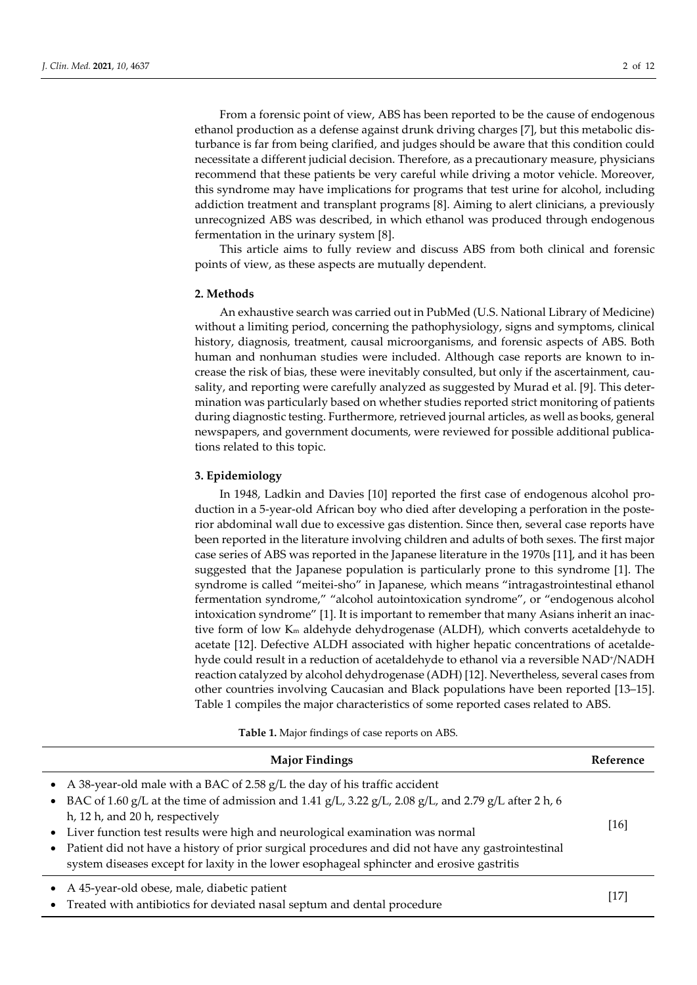From a forensic point of view, ABS has been reported to be the cause of endogenous ethanol production as a defense against drunk driving charges [7], but this metabolic disturbance is far from being clarified, and judges should be aware that this condition could necessitate a different judicial decision. Therefore, as a precautionary measure, physicians recommend that these patients be very careful while driving a motor vehicle. Moreover, this syndrome may have implications for programs that test urine for alcohol, including addiction treatment and transplant programs [8]. Aiming to alert clinicians, a previously unrecognized ABS was described, in which ethanol was produced through endogenous fermentation in the urinary system [8].

This article aims to fully review and discuss ABS from both clinical and forensic points of view, as these aspects are mutually dependent.

# 2. Methods

An exhaustive search was carried out in PubMed (U.S. National Library of Medicine) without a limiting period, concerning the pathophysiology, signs and symptoms, clinical history, diagnosis, treatment, causal microorganisms, and forensic aspects of ABS. Both human and nonhuman studies were included. Although case reports are known to increase the risk of bias, these were inevitably consulted, but only if the ascertainment, causality, and reporting were carefully analyzed as suggested by Murad et al. [9]. This determination was particularly based on whether studies reported strict monitoring of patients during diagnostic testing. Furthermore, retrieved journal articles, as well as books, general newspapers, and government documents, were reviewed for possible additional publications related to this topic.

#### 3. Epidemiology

In 1948, Ladkin and Davies [10] reported the first case of endogenous alcohol production in a 5-year-old African boy who died after developing a perforation in the posterior abdominal wall due to excessive gas distention. Since then, several case reports have been reported in the literature involving children and adults of both sexes. The first major case series of ABS was reported in the Japanese literature in the 1970s [11], and it has been suggested that the Japanese population is particularly prone to this syndrome [1]. The syndrome is called "meitei-sho" in Japanese, which means "intragastrointestinal ethanol fermentation syndrome," "alcohol autointoxication syndrome", or "endogenous alcohol intoxication syndrome" [1]. It is important to remember that many Asians inherit an inactive form of low Km aldehyde dehydrogenase (ALDH), which converts acetaldehyde to acetate [12]. Defective ALDH associated with higher hepatic concentrations of acetaldehyde could result in a reduction of acetaldehyde to ethanol via a reversible NAD+/NADH reaction catalyzed by alcohol dehydrogenase (ADH) [12]. Nevertheless, several cases from other countries involving Caucasian and Black populations have been reported [13–15]. Table 1 compiles the major characteristics of some reported cases related to ABS.

Table 1. Major findings of case reports on ABS.

| <b>Major Findings</b>                                                                                                                                                                                                                                                                                                                                                                                                                                                                                             | Reference |
|-------------------------------------------------------------------------------------------------------------------------------------------------------------------------------------------------------------------------------------------------------------------------------------------------------------------------------------------------------------------------------------------------------------------------------------------------------------------------------------------------------------------|-----------|
| • A 38-year-old male with a BAC of 2.58 $g/L$ the day of his traffic accident<br>• BAC of 1.60 g/L at the time of admission and 1.41 g/L, 3.22 g/L, 2.08 g/L, and 2.79 g/L after 2 h, 6<br>h, 12 h, and 20 h, respectively<br>• Liver function test results were high and neurological examination was normal<br>• Patient did not have a history of prior surgical procedures and did not have any gastrointestinal<br>system diseases except for laxity in the lower esophageal sphincter and erosive gastritis | 16        |
| A 45-year-old obese, male, diabetic patient<br>• Treated with antibiotics for deviated nasal septum and dental procedure                                                                                                                                                                                                                                                                                                                                                                                          | 17        |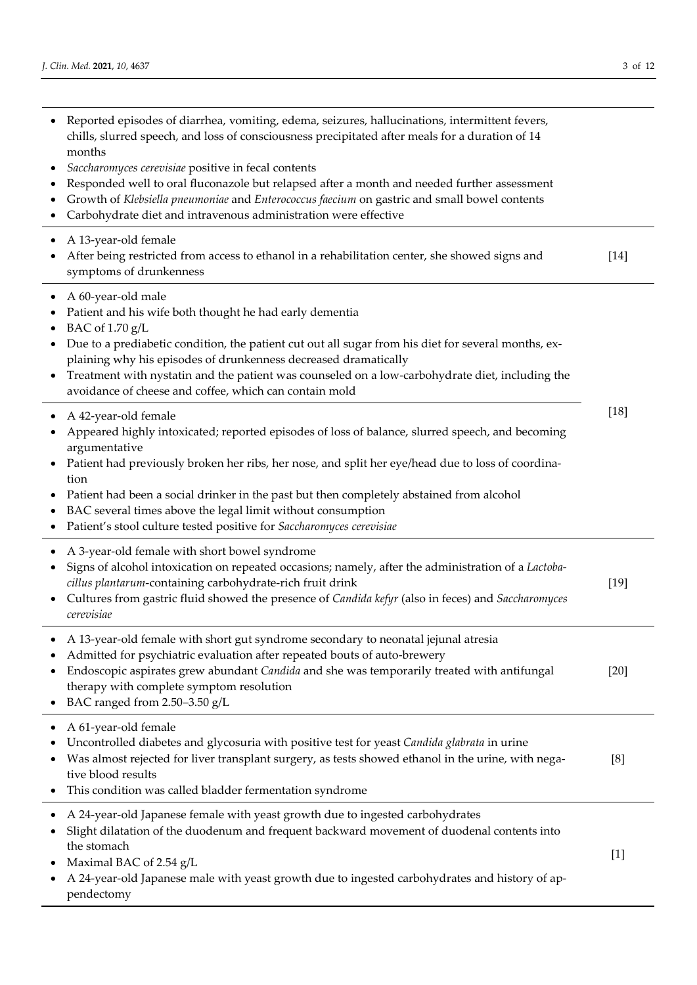| ٠<br>٠      | Reported episodes of diarrhea, vomiting, edema, seizures, hallucinations, intermittent fevers,<br>chills, slurred speech, and loss of consciousness precipitated after meals for a duration of 14<br>months<br>Saccharomyces cerevisiae positive in fecal contents<br>Responded well to oral fluconazole but relapsed after a month and needed further assessment<br>Growth of Klebsiella pneumoniae and Enterococcus faecium on gastric and small bowel contents<br>Carbohydrate diet and intravenous administration were effective |        |
|-------------|--------------------------------------------------------------------------------------------------------------------------------------------------------------------------------------------------------------------------------------------------------------------------------------------------------------------------------------------------------------------------------------------------------------------------------------------------------------------------------------------------------------------------------------|--------|
|             | A 13-year-old female<br>After being restricted from access to ethanol in a rehabilitation center, she showed signs and<br>symptoms of drunkenness                                                                                                                                                                                                                                                                                                                                                                                    | $[14]$ |
| ٠           | A 60-year-old male<br>Patient and his wife both thought he had early dementia<br>BAC of 1.70 g/L<br>Due to a prediabetic condition, the patient cut out all sugar from his diet for several months, ex-<br>plaining why his episodes of drunkenness decreased dramatically<br>Treatment with nystatin and the patient was counseled on a low-carbohydrate diet, including the<br>avoidance of cheese and coffee, which can contain mold                                                                                              |        |
| ٠<br>٠<br>٠ | A 42-year-old female<br>Appeared highly intoxicated; reported episodes of loss of balance, slurred speech, and becoming<br>argumentative<br>Patient had previously broken her ribs, her nose, and split her eye/head due to loss of coordina-<br>tion<br>Patient had been a social drinker in the past but then completely abstained from alcohol<br>BAC several times above the legal limit without consumption<br>Patient's stool culture tested positive for Saccharomyces cerevisiae                                             | $[18]$ |
| $\bullet$   | A 3-year-old female with short bowel syndrome<br>Signs of alcohol intoxication on repeated occasions; namely, after the administration of a Lactoba-<br>cillus plantarum-containing carbohydrate-rich fruit drink<br>Cultures from gastric fluid showed the presence of Candida kefyr (also in feces) and Saccharomyces<br>cerevisiae                                                                                                                                                                                                | $[19]$ |
| ٠<br>٠      | A 13-year-old female with short gut syndrome secondary to neonatal jejunal atresia<br>Admitted for psychiatric evaluation after repeated bouts of auto-brewery<br>Endoscopic aspirates grew abundant Candida and she was temporarily treated with antifungal<br>therapy with complete symptom resolution<br>BAC ranged from 2.50-3.50 g/L                                                                                                                                                                                            | $[20]$ |
| ٠           | A 61-year-old female<br>Uncontrolled diabetes and glycosuria with positive test for yeast Candida glabrata in urine<br>Was almost rejected for liver transplant surgery, as tests showed ethanol in the urine, with nega-<br>tive blood results<br>This condition was called bladder fermentation syndrome                                                                                                                                                                                                                           | [8]    |
| ٠           | A 24-year-old Japanese female with yeast growth due to ingested carbohydrates<br>Slight dilatation of the duodenum and frequent backward movement of duodenal contents into<br>the stomach<br>Maximal BAC of 2.54 g/L<br>A 24-year-old Japanese male with yeast growth due to ingested carbohydrates and history of ap-<br>pendectomy                                                                                                                                                                                                | $[1]$  |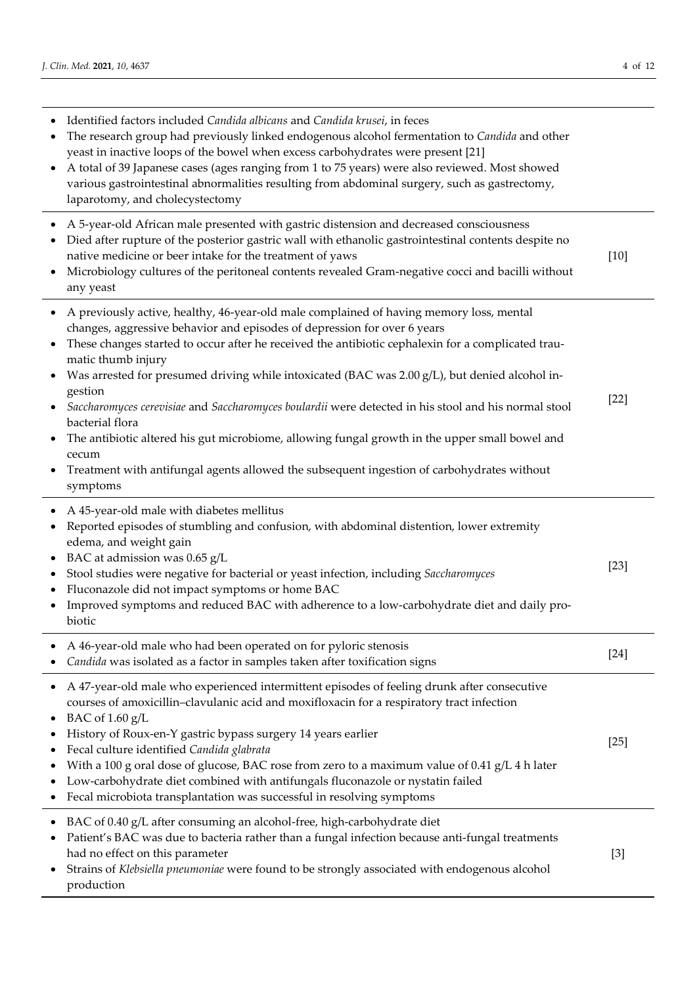| $\bullet$                                                          | Identified factors included Candida albicans and Candida krusei, in feces<br>The research group had previously linked endogenous alcohol fermentation to Candida and other<br>yeast in inactive loops of the bowel when excess carbohydrates were present [21]<br>A total of 39 Japanese cases (ages ranging from 1 to 75 years) were also reviewed. Most showed<br>various gastrointestinal abnormalities resulting from abdominal surgery, such as gastrectomy,<br>laparotomy, and cholecystectomy                                                                                                                                                                                                                                                         |        |
|--------------------------------------------------------------------|--------------------------------------------------------------------------------------------------------------------------------------------------------------------------------------------------------------------------------------------------------------------------------------------------------------------------------------------------------------------------------------------------------------------------------------------------------------------------------------------------------------------------------------------------------------------------------------------------------------------------------------------------------------------------------------------------------------------------------------------------------------|--------|
| $\bullet$                                                          | A 5-year-old African male presented with gastric distension and decreased consciousness<br>Died after rupture of the posterior gastric wall with ethanolic gastrointestinal contents despite no<br>native medicine or beer intake for the treatment of yaws<br>Microbiology cultures of the peritoneal contents revealed Gram-negative cocci and bacilli without<br>any yeast                                                                                                                                                                                                                                                                                                                                                                                | $[10]$ |
| $\bullet$<br>$\bullet$<br>$\bullet$<br>$\bullet$                   | A previously active, healthy, 46-year-old male complained of having memory loss, mental<br>changes, aggressive behavior and episodes of depression for over 6 years<br>These changes started to occur after he received the antibiotic cephalexin for a complicated trau-<br>matic thumb injury<br>Was arrested for presumed driving while intoxicated (BAC was 2.00 g/L), but denied alcohol in-<br>gestion<br>Saccharomyces cerevisiae and Saccharomyces boulardii were detected in his stool and his normal stool<br>bacterial flora<br>The antibiotic altered his gut microbiome, allowing fungal growth in the upper small bowel and<br>cecum<br>Treatment with antifungal agents allowed the subsequent ingestion of carbohydrates without<br>symptoms | $[22]$ |
| $\bullet$<br>$\bullet$<br>$\bullet$<br>٠<br>$\bullet$<br>$\bullet$ | A 45-year-old male with diabetes mellitus<br>Reported episodes of stumbling and confusion, with abdominal distention, lower extremity<br>edema, and weight gain<br>BAC at admission was 0.65 g/L<br>Stool studies were negative for bacterial or yeast infection, including Saccharomyces<br>Fluconazole did not impact symptoms or home BAC<br>Improved symptoms and reduced BAC with adherence to a low-carbohydrate diet and daily pro-<br>biotic                                                                                                                                                                                                                                                                                                         | $[23]$ |
|                                                                    | A 46-year-old male who had been operated on for pyloric stenosis<br>Candida was isolated as a factor in samples taken after toxification signs                                                                                                                                                                                                                                                                                                                                                                                                                                                                                                                                                                                                               | $[24]$ |
| $\bullet$<br>٠                                                     | A 47-year-old male who experienced intermittent episodes of feeling drunk after consecutive<br>courses of amoxicillin-clavulanic acid and moxifloxacin for a respiratory tract infection<br>BAC of $1.60$ g/L<br>History of Roux-en-Y gastric bypass surgery 14 years earlier<br>Fecal culture identified Candida glabrata<br>With a 100 g oral dose of glucose, BAC rose from zero to a maximum value of 0.41 g/L 4 h later<br>Low-carbohydrate diet combined with antifungals fluconazole or nystatin failed<br>Fecal microbiota transplantation was successful in resolving symptoms                                                                                                                                                                      | $[25]$ |
| ٠                                                                  | BAC of 0.40 g/L after consuming an alcohol-free, high-carbohydrate diet<br>Patient's BAC was due to bacteria rather than a fungal infection because anti-fungal treatments<br>had no effect on this parameter<br>Strains of Klebsiella pneumoniae were found to be strongly associated with endogenous alcohol<br>production                                                                                                                                                                                                                                                                                                                                                                                                                                 | $[3]$  |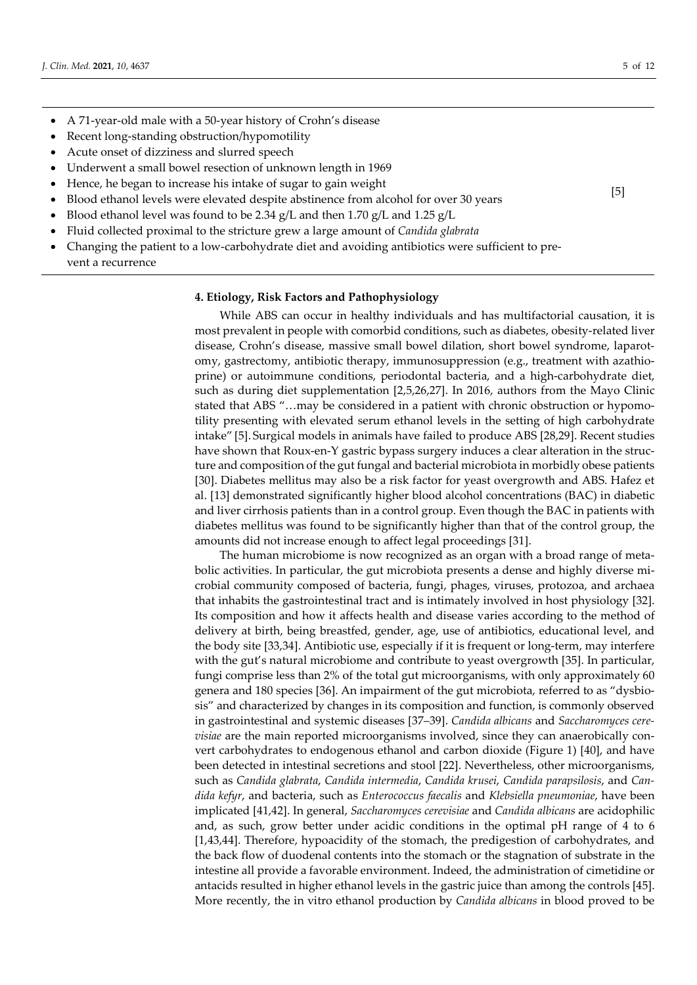[5]

- A 71-year-old male with a 50-year history of Crohn's disease
- Recent long-standing obstruction/hypomotility
- Acute onset of dizziness and slurred speech
- Underwent a small bowel resection of unknown length in 1969
- Hence, he began to increase his intake of sugar to gain weight
- Blood ethanol levels were elevated despite abstinence from alcohol for over 30 years
- Blood ethanol level was found to be 2.34  $g/L$  and then 1.70  $g/L$  and 1.25  $g/L$
- Fluid collected proximal to the stricture grew a large amount of *Candida glabrata*
- Changing the patient to a low-carbohydrate diet and avoiding antibiotics were sufficient to prevent a recurrence

#### 4. Etiology, Risk Factors and Pathophysiology

While ABS can occur in healthy individuals and has multifactorial causation, it is most prevalent in people with comorbid conditions, such as diabetes, obesity-related liver disease, Crohn's disease, massive small bowel dilation, short bowel syndrome, laparotomy, gastrectomy, antibiotic therapy, immunosuppression (e.g., treatment with azathioprine) or autoimmune conditions, periodontal bacteria, and a high-carbohydrate diet, such as during diet supplementation [2,5,26,27]. In 2016, authors from the Mayo Clinic stated that ABS "…may be considered in a patient with chronic obstruction or hypomotility presenting with elevated serum ethanol levels in the setting of high carbohydrate intake" [5]. Surgical models in animals have failed to produce ABS [28,29]. Recent studies have shown that Roux-en-Y gastric bypass surgery induces a clear alteration in the structure and composition of the gut fungal and bacterial microbiota in morbidly obese patients [30]. Diabetes mellitus may also be a risk factor for yeast overgrowth and ABS. Hafez et al. [13] demonstrated significantly higher blood alcohol concentrations (BAC) in diabetic and liver cirrhosis patients than in a control group. Even though the BAC in patients with diabetes mellitus was found to be significantly higher than that of the control group, the amounts did not increase enough to affect legal proceedings [31].

The human microbiome is now recognized as an organ with a broad range of metabolic activities. In particular, the gut microbiota presents a dense and highly diverse microbial community composed of bacteria, fungi, phages, viruses, protozoa, and archaea that inhabits the gastrointestinal tract and is intimately involved in host physiology [32]. Its composition and how it affects health and disease varies according to the method of delivery at birth, being breastfed, gender, age, use of antibiotics, educational level, and the body site [33,34]. Antibiotic use, especially if it is frequent or long-term, may interfere with the gut's natural microbiome and contribute to yeast overgrowth [35]. In particular, fungi comprise less than 2% of the total gut microorganisms, with only approximately 60 genera and 180 species [36]. An impairment of the gut microbiota, referred to as "dysbiosis" and characterized by changes in its composition and function, is commonly observed in gastrointestinal and systemic diseases [37–39]. Candida albicans and Saccharomyces cerevisiae are the main reported microorganisms involved, since they can anaerobically convert carbohydrates to endogenous ethanol and carbon dioxide (Figure 1) [40], and have been detected in intestinal secretions and stool [22]. Nevertheless, other microorganisms, such as Candida glabrata, Candida intermedia, Candida krusei, Candida parapsilosis, and Candida kefyr, and bacteria, such as Enterococcus faecalis and Klebsiella pneumoniae, have been implicated [41,42]. In general, Saccharomyces cerevisiae and Candida albicans are acidophilic and, as such, grow better under acidic conditions in the optimal pH range of 4 to 6 [1,43,44]. Therefore, hypoacidity of the stomach, the predigestion of carbohydrates, and the back flow of duodenal contents into the stomach or the stagnation of substrate in the intestine all provide a favorable environment. Indeed, the administration of cimetidine or antacids resulted in higher ethanol levels in the gastric juice than among the controls [45]. More recently, the in vitro ethanol production by Candida albicans in blood proved to be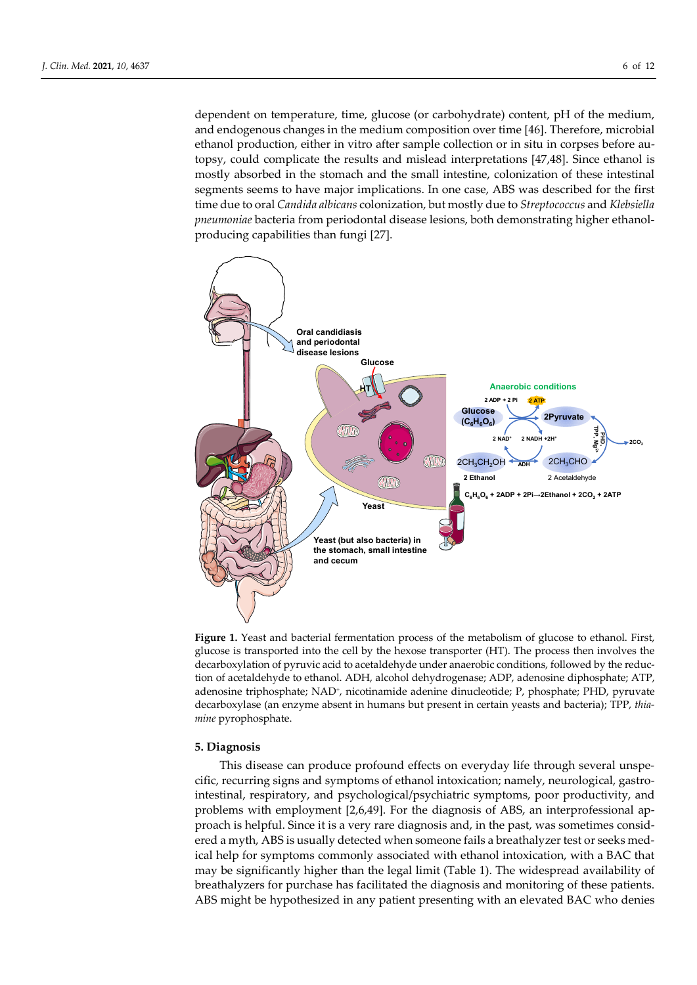dependent on temperature, time, glucose (or carbohydrate) content, pH of the medium, and endogenous changes in the medium composition over time [46]. Therefore, microbial ethanol production, either in vitro after sample collection or in situ in corpses before autopsy, could complicate the results and mislead interpretations [47,48]. Since ethanol is mostly absorbed in the stomach and the small intestine, colonization of these intestinal segments seems to have major implications. In one case, ABS was described for the first time due to oral *Candida albicans* colonization, but mostly due to *Streptococcus* and *Klebsiella* pneumoniae bacteria from periodontal disease lesions, both demonstrating higher ethanolproducing capabilities than fungi [27].



Figure 1. Yeast and bacterial fermentation process of the metabolism of glucose to ethanol. First, glucose is transported into the cell by the hexose transporter (HT). The process then involves the decarboxylation of pyruvic acid to acetaldehyde under anaerobic conditions, followed by the reduction of acetaldehyde to ethanol. ADH, alcohol dehydrogenase; ADP, adenosine diphosphate; ATP, adenosine triphosphate; NAD<sup>+</sup>, nicotinamide adenine dinucleotide; P, phosphate; PHD, pyruvate decarboxylase (an enzyme absent in humans but present in certain yeasts and bacteria); TPP, thiamine pyrophosphate.

#### 5. Diagnosis

This disease can produce profound effects on everyday life through several unspecific, recurring signs and symptoms of ethanol intoxication; namely, neurological, gastrointestinal, respiratory, and psychological/psychiatric symptoms, poor productivity, and problems with employment [2,6,49]. For the diagnosis of ABS, an interprofessional approach is helpful. Since it is a very rare diagnosis and, in the past, was sometimes considered a myth, ABS is usually detected when someone fails a breathalyzer test or seeks medical help for symptoms commonly associated with ethanol intoxication, with a BAC that may be significantly higher than the legal limit (Table 1). The widespread availability of breathalyzers for purchase has facilitated the diagnosis and monitoring of these patients. ABS might be hypothesized in any patient presenting with an elevated BAC who denies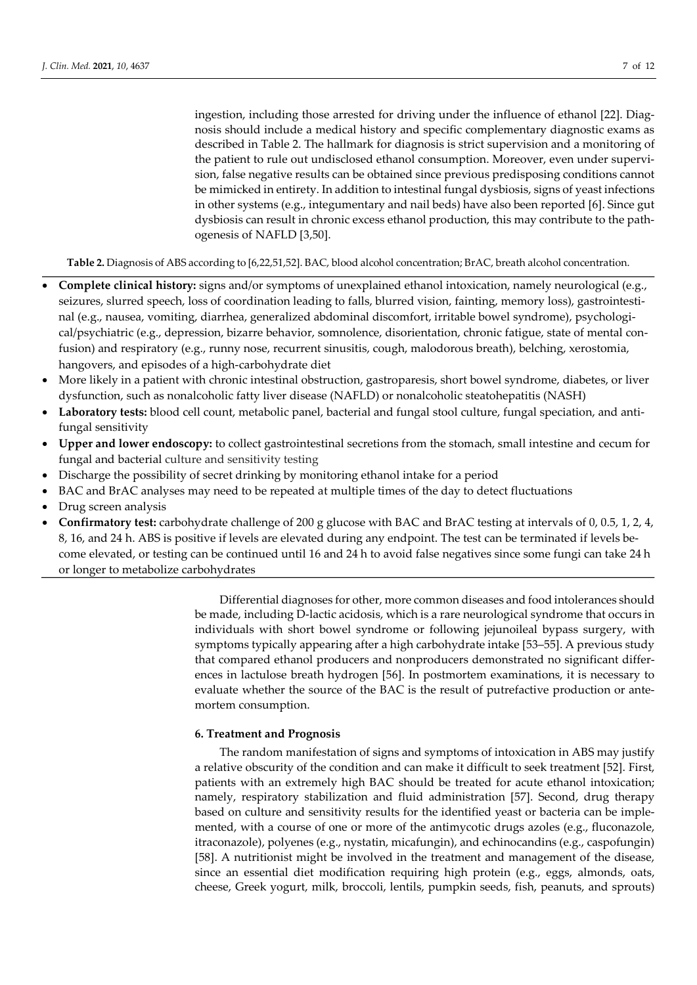ingestion, including those arrested for driving under the influence of ethanol [22]. Diagnosis should include a medical history and specific complementary diagnostic exams as described in Table 2. The hallmark for diagnosis is strict supervision and a monitoring of the patient to rule out undisclosed ethanol consumption. Moreover, even under supervision, false negative results can be obtained since previous predisposing conditions cannot be mimicked in entirety. In addition to intestinal fungal dysbiosis, signs of yeast infections in other systems (e.g., integumentary and nail beds) have also been reported [6]. Since gut dysbiosis can result in chronic excess ethanol production, this may contribute to the pathogenesis of NAFLD [3,50].

Table 2. Diagnosis of ABS according to [6,22,51,52]. BAC, blood alcohol concentration; BrAC, breath alcohol concentration.

- Complete clinical history: signs and/or symptoms of unexplained ethanol intoxication, namely neurological (e.g., seizures, slurred speech, loss of coordination leading to falls, blurred vision, fainting, memory loss), gastrointestinal (e.g., nausea, vomiting, diarrhea, generalized abdominal discomfort, irritable bowel syndrome), psychological/psychiatric (e.g., depression, bizarre behavior, somnolence, disorientation, chronic fatigue, state of mental confusion) and respiratory (e.g., runny nose, recurrent sinusitis, cough, malodorous breath), belching, xerostomia, hangovers, and episodes of a high-carbohydrate diet
- More likely in a patient with chronic intestinal obstruction, gastroparesis, short bowel syndrome, diabetes, or liver dysfunction, such as nonalcoholic fatty liver disease (NAFLD) or nonalcoholic steatohepatitis (NASH)
- Laboratory tests: blood cell count, metabolic panel, bacterial and fungal stool culture, fungal speciation, and antifungal sensitivity
- Upper and lower endoscopy: to collect gastrointestinal secretions from the stomach, small intestine and cecum for fungal and bacterial culture and sensitivity testing
- Discharge the possibility of secret drinking by monitoring ethanol intake for a period
- BAC and BrAC analyses may need to be repeated at multiple times of the day to detect fluctuations
- Drug screen analysis
- Confirmatory test: carbohydrate challenge of 200 g glucose with BAC and BrAC testing at intervals of 0, 0.5, 1, 2, 4, 8, 16, and 24 h. ABS is positive if levels are elevated during any endpoint. The test can be terminated if levels become elevated, or testing can be continued until 16 and 24 h to avoid false negatives since some fungi can take 24 h or longer to metabolize carbohydrates

Differential diagnoses for other, more common diseases and food intolerances should be made, including D-lactic acidosis, which is a rare neurological syndrome that occurs in individuals with short bowel syndrome or following jejunoileal bypass surgery, with symptoms typically appearing after a high carbohydrate intake [53–55]. A previous study that compared ethanol producers and nonproducers demonstrated no significant differences in lactulose breath hydrogen [56]. In postmortem examinations, it is necessary to evaluate whether the source of the BAC is the result of putrefactive production or antemortem consumption.

### 6. Treatment and Prognosis

The random manifestation of signs and symptoms of intoxication in ABS may justify a relative obscurity of the condition and can make it difficult to seek treatment [52]. First, patients with an extremely high BAC should be treated for acute ethanol intoxication; namely, respiratory stabilization and fluid administration [57]. Second, drug therapy based on culture and sensitivity results for the identified yeast or bacteria can be implemented, with a course of one or more of the antimycotic drugs azoles (e.g., fluconazole, itraconazole), polyenes (e.g., nystatin, micafungin), and echinocandins (e.g., caspofungin) [58]. A nutritionist might be involved in the treatment and management of the disease, since an essential diet modification requiring high protein (e.g., eggs, almonds, oats, cheese, Greek yogurt, milk, broccoli, lentils, pumpkin seeds, fish, peanuts, and sprouts)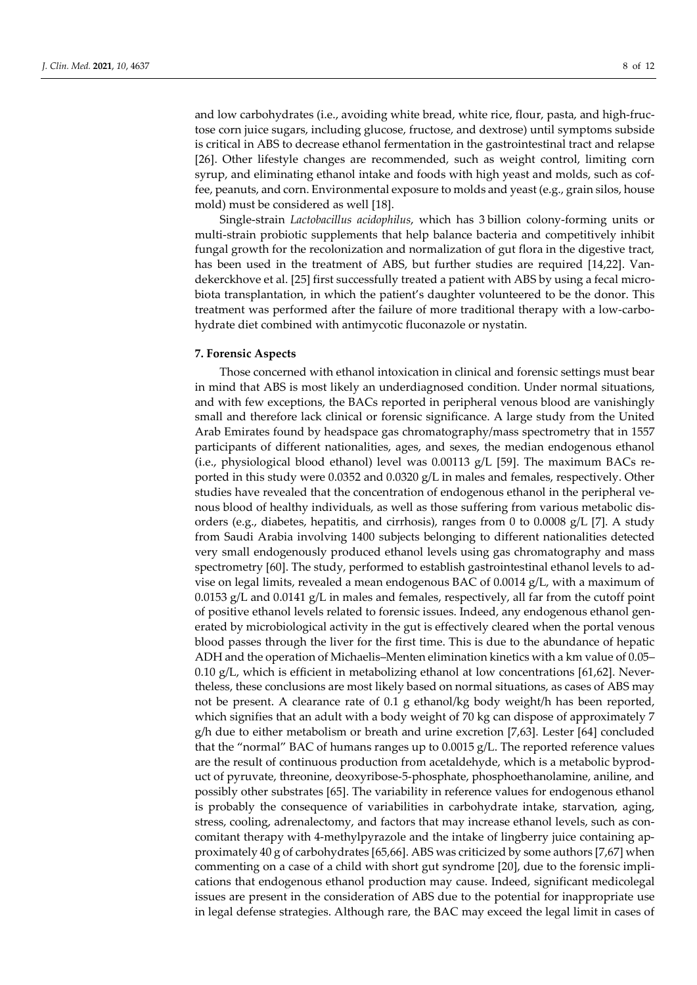and low carbohydrates (i.e., avoiding white bread, white rice, flour, pasta, and high-fructose corn juice sugars, including glucose, fructose, and dextrose) until symptoms subside is critical in ABS to decrease ethanol fermentation in the gastrointestinal tract and relapse [26]. Other lifestyle changes are recommended, such as weight control, limiting corn syrup, and eliminating ethanol intake and foods with high yeast and molds, such as coffee, peanuts, and corn. Environmental exposure to molds and yeast (e.g., grain silos, house mold) must be considered as well [18].

Single-strain Lactobacillus acidophilus, which has 3 billion colony-forming units or multi-strain probiotic supplements that help balance bacteria and competitively inhibit fungal growth for the recolonization and normalization of gut flora in the digestive tract, has been used in the treatment of ABS, but further studies are required [14,22]. Vandekerckhove et al. [25] first successfully treated a patient with ABS by using a fecal microbiota transplantation, in which the patient's daughter volunteered to be the donor. This treatment was performed after the failure of more traditional therapy with a low-carbohydrate diet combined with antimycotic fluconazole or nystatin.

# 7. Forensic Aspects

Those concerned with ethanol intoxication in clinical and forensic settings must bear in mind that ABS is most likely an underdiagnosed condition. Under normal situations, and with few exceptions, the BACs reported in peripheral venous blood are vanishingly small and therefore lack clinical or forensic significance. A large study from the United Arab Emirates found by headspace gas chromatography/mass spectrometry that in 1557 participants of different nationalities, ages, and sexes, the median endogenous ethanol (i.e., physiological blood ethanol) level was  $0.00113$  g/L [59]. The maximum BACs reported in this study were 0.0352 and 0.0320 g/L in males and females, respectively. Other studies have revealed that the concentration of endogenous ethanol in the peripheral venous blood of healthy individuals, as well as those suffering from various metabolic disorders (e.g., diabetes, hepatitis, and cirrhosis), ranges from 0 to 0.0008 g/L [7]. A study from Saudi Arabia involving 1400 subjects belonging to different nationalities detected very small endogenously produced ethanol levels using gas chromatography and mass spectrometry [60]. The study, performed to establish gastrointestinal ethanol levels to advise on legal limits, revealed a mean endogenous BAC of 0.0014 g/L, with a maximum of 0.0153 g/L and 0.0141 g/L in males and females, respectively, all far from the cutoff point of positive ethanol levels related to forensic issues. Indeed, any endogenous ethanol generated by microbiological activity in the gut is effectively cleared when the portal venous blood passes through the liver for the first time. This is due to the abundance of hepatic ADH and the operation of Michaelis–Menten elimination kinetics with a km value of 0.05– 0.10 g/L, which is efficient in metabolizing ethanol at low concentrations [61,62]. Nevertheless, these conclusions are most likely based on normal situations, as cases of ABS may not be present. A clearance rate of 0.1 g ethanol/kg body weight/h has been reported, which signifies that an adult with a body weight of 70 kg can dispose of approximately 7 g/h due to either metabolism or breath and urine excretion [7,63]. Lester [64] concluded that the "normal" BAC of humans ranges up to 0.0015 g/L. The reported reference values are the result of continuous production from acetaldehyde, which is a metabolic byproduct of pyruvate, threonine, deoxyribose-5-phosphate, phosphoethanolamine, aniline, and possibly other substrates [65]. The variability in reference values for endogenous ethanol is probably the consequence of variabilities in carbohydrate intake, starvation, aging, stress, cooling, adrenalectomy, and factors that may increase ethanol levels, such as concomitant therapy with 4-methylpyrazole and the intake of lingberry juice containing approximately 40 g of carbohydrates [65,66]. ABS was criticized by some authors [7,67] when commenting on a case of a child with short gut syndrome [20], due to the forensic implications that endogenous ethanol production may cause. Indeed, significant medicolegal issues are present in the consideration of ABS due to the potential for inappropriate use in legal defense strategies. Although rare, the BAC may exceed the legal limit in cases of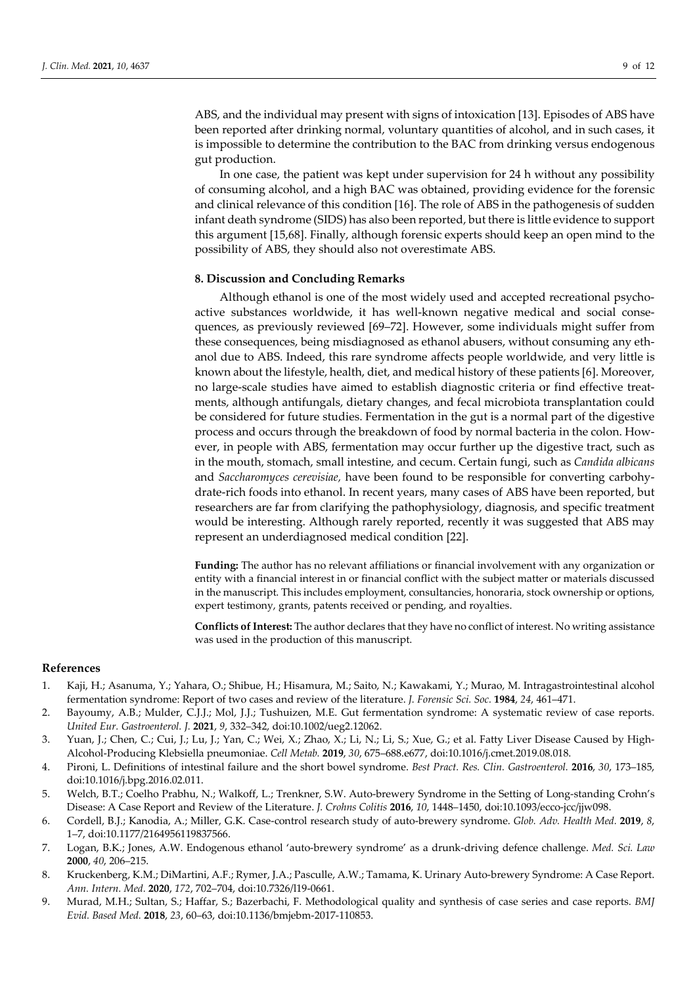ABS, and the individual may present with signs of intoxication [13]. Episodes of ABS have been reported after drinking normal, voluntary quantities of alcohol, and in such cases, it is impossible to determine the contribution to the BAC from drinking versus endogenous gut production.

In one case, the patient was kept under supervision for 24 h without any possibility of consuming alcohol, and a high BAC was obtained, providing evidence for the forensic and clinical relevance of this condition [16]. The role of ABS in the pathogenesis of sudden infant death syndrome (SIDS) has also been reported, but there is little evidence to support this argument [15,68]. Finally, although forensic experts should keep an open mind to the possibility of ABS, they should also not overestimate ABS.

# 8. Discussion and Concluding Remarks

Although ethanol is one of the most widely used and accepted recreational psychoactive substances worldwide, it has well-known negative medical and social consequences, as previously reviewed [69–72]. However, some individuals might suffer from these consequences, being misdiagnosed as ethanol abusers, without consuming any ethanol due to ABS. Indeed, this rare syndrome affects people worldwide, and very little is known about the lifestyle, health, diet, and medical history of these patients [6]. Moreover, no large-scale studies have aimed to establish diagnostic criteria or find effective treatments, although antifungals, dietary changes, and fecal microbiota transplantation could be considered for future studies. Fermentation in the gut is a normal part of the digestive process and occurs through the breakdown of food by normal bacteria in the colon. However, in people with ABS, fermentation may occur further up the digestive tract, such as in the mouth, stomach, small intestine, and cecum. Certain fungi, such as Candida albicans and Saccharomyces cerevisiae, have been found to be responsible for converting carbohydrate-rich foods into ethanol. In recent years, many cases of ABS have been reported, but researchers are far from clarifying the pathophysiology, diagnosis, and specific treatment would be interesting. Although rarely reported, recently it was suggested that ABS may represent an underdiagnosed medical condition [22].

Funding: The author has no relevant affiliations or financial involvement with any organization or entity with a financial interest in or financial conflict with the subject matter or materials discussed in the manuscript. This includes employment, consultancies, honoraria, stock ownership or options, expert testimony, grants, patents received or pending, and royalties.

Conflicts of Interest: The author declares that they have no conflict of interest. No writing assistance was used in the production of this manuscript.

#### References

- 1. Kaji, H.; Asanuma, Y.; Yahara, O.; Shibue, H.; Hisamura, M.; Saito, N.; Kawakami, Y.; Murao, M. Intragastrointestinal alcohol fermentation syndrome: Report of two cases and review of the literature. J. Forensic Sci. Soc. 1984, 24, 461–471.
- 2. Bayoumy, A.B.; Mulder, C.J.J.; Mol, J.J.; Tushuizen, M.E. Gut fermentation syndrome: A systematic review of case reports. United Eur. Gastroenterol. J. 2021, 9, 332–342, doi:10.1002/ueg2.12062.
- 3. Yuan, J.; Chen, C.; Cui, J.; Lu, J.; Yan, C.; Wei, X.; Zhao, X.; Li, N.; Li, S.; Xue, G.; et al. Fatty Liver Disease Caused by High-Alcohol-Producing Klebsiella pneumoniae. Cell Metab. 2019, 30, 675–688.e677, doi:10.1016/j.cmet.2019.08.018.
- 4. Pironi, L. Definitions of intestinal failure and the short bowel syndrome. Best Pract. Res. Clin. Gastroenterol. 2016, 30, 173–185, doi:10.1016/j.bpg.2016.02.011.
- 5. Welch, B.T.; Coelho Prabhu, N.; Walkoff, L.; Trenkner, S.W. Auto-brewery Syndrome in the Setting of Long-standing Crohn's Disease: A Case Report and Review of the Literature. J. Crohns Colitis 2016, 10, 1448–1450, doi:10.1093/ecco-jcc/jjw098.
- 6. Cordell, B.J.; Kanodia, A.; Miller, G.K. Case-control research study of auto-brewery syndrome. Glob. Adv. Health Med. 2019, 8, 1–7, doi:10.1177/2164956119837566.
- 7. Logan, B.K.; Jones, A.W. Endogenous ethanol 'auto-brewery syndrome' as a drunk-driving defence challenge. Med. Sci. Law 2000, 40, 206–215.
- 8. Kruckenberg, K.M.; DiMartini, A.F.; Rymer, J.A.; Pasculle, A.W.; Tamama, K. Urinary Auto-brewery Syndrome: A Case Report. Ann. Intern. Med. 2020, 172, 702–704, doi:10.7326/l19-0661.
- 9. Murad, M.H.; Sultan, S.; Haffar, S.; Bazerbachi, F. Methodological quality and synthesis of case series and case reports. BMJ Evid. Based Med. 2018, 23, 60–63, doi:10.1136/bmjebm-2017-110853.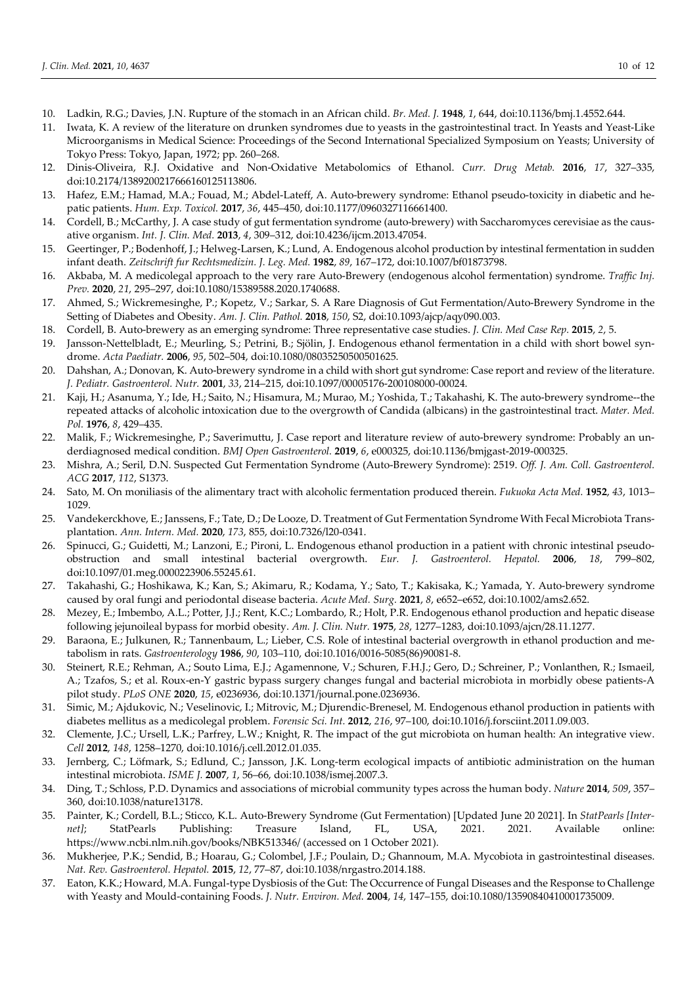- 10. Ladkin, R.G.; Davies, J.N. Rupture of the stomach in an African child. Br. Med. J. 1948, 1, 644, doi:10.1136/bmj.1.4552.644.
- 11. Iwata, K. A review of the literature on drunken syndromes due to yeasts in the gastrointestinal tract. In Yeasts and Yeast-Like Microorganisms in Medical Science: Proceedings of the Second International Specialized Symposium on Yeasts; University of Tokyo Press: Tokyo, Japan, 1972; pp. 260–268.
- 12. Dinis-Oliveira, R.J. Oxidative and Non-Oxidative Metabolomics of Ethanol. Curr. Drug Metab. 2016, 17, 327–335, doi:10.2174/1389200217666160125113806.
- 13. Hafez, E.M.; Hamad, M.A.; Fouad, M.; Abdel-Lateff, A. Auto-brewery syndrome: Ethanol pseudo-toxicity in diabetic and hepatic patients. Hum. Exp. Toxicol. 2017, 36, 445–450, doi:10.1177/0960327116661400.
- 14. Cordell, B.; McCarthy, J. A case study of gut fermentation syndrome (auto-brewery) with Saccharomyces cerevisiae as the causative organism. Int. J. Clin. Med. 2013, 4, 309–312, doi:10.4236/ijcm.2013.47054.
- 15. Geertinger, P.; Bodenhoff, J.; Helweg-Larsen, K.; Lund, A. Endogenous alcohol production by intestinal fermentation in sudden infant death. Zeitschrift fur Rechtsmedizin. J. Leg. Med. 1982, 89, 167-172, doi:10.1007/bf01873798.
- 16. Akbaba, M. A medicolegal approach to the very rare Auto-Brewery (endogenous alcohol fermentation) syndrome. Traffic Inj. Prev. 2020, 21, 295–297, doi:10.1080/15389588.2020.1740688.
- 17. Ahmed, S.; Wickremesinghe, P.; Kopetz, V.; Sarkar, S. A Rare Diagnosis of Gut Fermentation/Auto-Brewery Syndrome in the Setting of Diabetes and Obesity. Am. J. Clin. Pathol. 2018, 150, S2, doi:10.1093/ajcp/aqy090.003.
- 18. Cordell, B. Auto-brewery as an emerging syndrome: Three representative case studies. *J. Clin. Med Case Rep.* 2015, 2, 5.
- 19. Jansson-Nettelbladt, E.; Meurling, S.; Petrini, B.; Sjölin, J. Endogenous ethanol fermentation in a child with short bowel syndrome. Acta Paediatr. 2006, 95, 502–504, doi:10.1080/08035250500501625.
- 20. Dahshan, A.; Donovan, K. Auto-brewery syndrome in a child with short gut syndrome: Case report and review of the literature. J. Pediatr. Gastroenterol. Nutr. 2001, 33, 214–215, doi:10.1097/00005176-200108000-00024.
- 21. Kaji, H.; Asanuma, Y.; Ide, H.; Saito, N.; Hisamura, M.; Murao, M.; Yoshida, T.; Takahashi, K. The auto-brewery syndrome--the repeated attacks of alcoholic intoxication due to the overgrowth of Candida (albicans) in the gastrointestinal tract. Mater. Med. Pol. 1976, 8, 429–435.
- 22. Malik, F.; Wickremesinghe, P.; Saverimuttu, J. Case report and literature review of auto-brewery syndrome: Probably an underdiagnosed medical condition. BMJ Open Gastroenterol. 2019, 6, e000325, doi:10.1136/bmjgast-2019-000325.
- 23. Mishra, A.; Seril, D.N. Suspected Gut Fermentation Syndrome (Auto-Brewery Syndrome): 2519. Off. J. Am. Coll. Gastroenterol. ACG 2017, 112, S1373.
- 24. Sato, M. On moniliasis of the alimentary tract with alcoholic fermentation produced therein. Fukuoka Acta Med. 1952, 43, 1013-1029.
- 25. Vandekerckhove, E.; Janssens, F.; Tate, D.; De Looze, D. Treatment of Gut Fermentation Syndrome With Fecal Microbiota Transplantation. Ann. Intern. Med. 2020, 173, 855, doi:10.7326/l20-0341.
- 26. Spinucci, G.; Guidetti, M.; Lanzoni, E.; Pironi, L. Endogenous ethanol production in a patient with chronic intestinal pseudoobstruction and small intestinal bacterial overgrowth. Eur. J. Gastroenterol. Hepatol. 2006, 18, 799–802, doi:10.1097/01.meg.0000223906.55245.61.
- 27. Takahashi, G.; Hoshikawa, K.; Kan, S.; Akimaru, R.; Kodama, Y.; Sato, T.; Kakisaka, K.; Yamada, Y. Auto-brewery syndrome caused by oral fungi and periodontal disease bacteria. Acute Med. Surg. 2021, 8, e652-e652, doi:10.1002/ams2.652.
- 28. Mezey, E.; Imbembo, A.L.; Potter, J.J.; Rent, K.C.; Lombardo, R.; Holt, P.R. Endogenous ethanol production and hepatic disease following jejunoileal bypass for morbid obesity. Am. J. Clin. Nutr. 1975, 28, 1277–1283, doi:10.1093/ajcn/28.11.1277.
- 29. Baraona, E.; Julkunen, R.; Tannenbaum, L.; Lieber, C.S. Role of intestinal bacterial overgrowth in ethanol production and metabolism in rats. Gastroenterology 1986, 90, 103–110, doi:10.1016/0016-5085(86)90081-8.
- 30. Steinert, R.E.; Rehman, A.; Souto Lima, E.J.; Agamennone, V.; Schuren, F.H.J.; Gero, D.; Schreiner, P.; Vonlanthen, R.; Ismaeil, A.; Tzafos, S.; et al. Roux-en-Y gastric bypass surgery changes fungal and bacterial microbiota in morbidly obese patients-A pilot study. PLoS ONE 2020, 15, e0236936, doi:10.1371/journal.pone.0236936.
- 31. Simic, M.; Ajdukovic, N.; Veselinovic, I.; Mitrovic, M.; Djurendic-Brenesel, M. Endogenous ethanol production in patients with diabetes mellitus as a medicolegal problem. Forensic Sci. Int. 2012, 216, 97–100, doi:10.1016/j.forsciint.2011.09.003.
- 32. Clemente, J.C.; Ursell, L.K.; Parfrey, L.W.; Knight, R. The impact of the gut microbiota on human health: An integrative view. Cell 2012, 148, 1258–1270, doi:10.1016/j.cell.2012.01.035.
- 33. Jernberg, C.; Löfmark, S.; Edlund, C.; Jansson, J.K. Long-term ecological impacts of antibiotic administration on the human intestinal microbiota. ISME J. 2007, 1, 56–66, doi:10.1038/ismej.2007.3.
- 34. Ding, T.; Schloss, P.D. Dynamics and associations of microbial community types across the human body. Nature 2014, 509, 357– 360, doi:10.1038/nature13178.
- 35. Painter, K.; Cordell, B.L.; Sticco, K.L. Auto-Brewery Syndrome (Gut Fermentation) [Updated June 20 2021]. In StatPearls [Internet]; StatPearls Publishing: Treasure Island, FL, USA, 2021. 2021. Available online: https://www.ncbi.nlm.nih.gov/books/NBK513346/ (accessed on 1 October 2021).
- 36. Mukherjee, P.K.; Sendid, B.; Hoarau, G.; Colombel, J.F.; Poulain, D.; Ghannoum, M.A. Mycobiota in gastrointestinal diseases. Nat. Rev. Gastroenterol. Hepatol. 2015, 12, 77–87, doi:10.1038/nrgastro.2014.188.
- 37. Eaton, K.K.; Howard, M.A. Fungal-type Dysbiosis of the Gut: The Occurrence of Fungal Diseases and the Response to Challenge with Yeasty and Mould-containing Foods. J. Nutr. Environ. Med. 2004, 14, 147–155, doi:10.1080/13590840410001735009.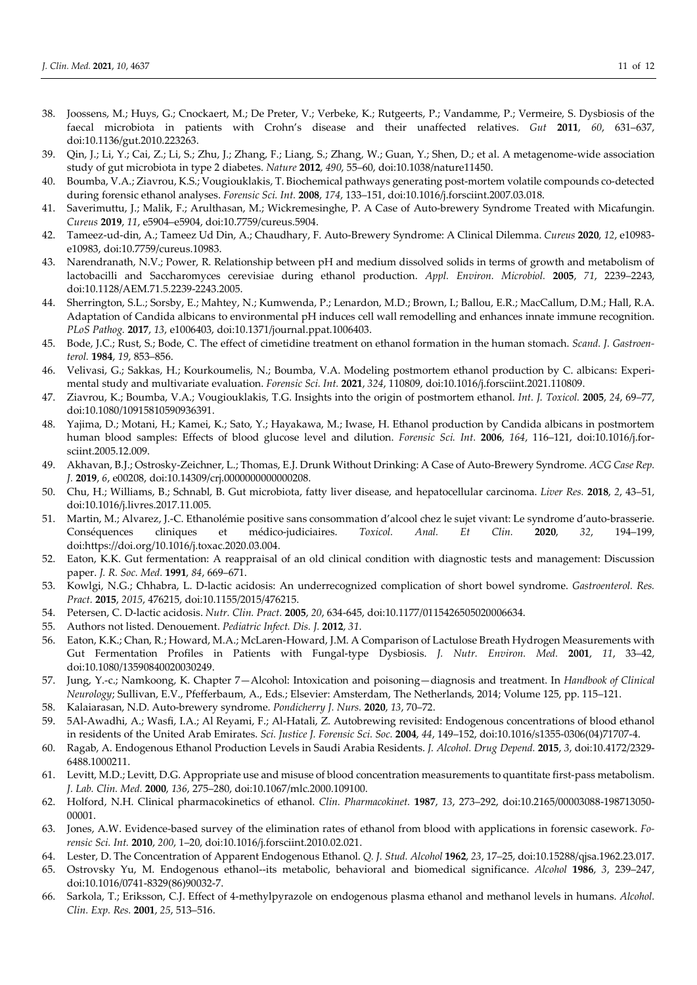- 38. Joossens, M.; Huys, G.; Cnockaert, M.; De Preter, V.; Verbeke, K.; Rutgeerts, P.; Vandamme, P.; Vermeire, S. Dysbiosis of the faecal microbiota in patients with Crohn's disease and their unaffected relatives. Gut 2011, 60, 631-637, doi:10.1136/gut.2010.223263.
- 39. Qin, J.; Li, Y.; Cai, Z.; Li, S.; Zhu, J.; Zhang, F.; Liang, S.; Zhang, W.; Guan, Y.; Shen, D.; et al. A metagenome-wide association study of gut microbiota in type 2 diabetes. Nature 2012, 490, 55–60, doi:10.1038/nature11450.
- 40. Boumba, V.A.; Ziavrou, K.S.; Vougiouklakis, T. Biochemical pathways generating post-mortem volatile compounds co-detected during forensic ethanol analyses. Forensic Sci. Int. 2008, 174, 133-151, doi:10.1016/j.forsciint.2007.03.018.
- 41. Saverimuttu, J.; Malik, F.; Arulthasan, M.; Wickremesinghe, P. A Case of Auto-brewery Syndrome Treated with Micafungin. Cureus 2019, 11, e5904–e5904, doi:10.7759/cureus.5904.
- 42. Tameez-ud-din, A.; Tameez Ud Din, A.; Chaudhary, F. Auto-Brewery Syndrome: A Clinical Dilemma. Cureus 2020, 12, e10983 e10983, doi:10.7759/cureus.10983.
- 43. Narendranath, N.V.; Power, R. Relationship between pH and medium dissolved solids in terms of growth and metabolism of lactobacilli and Saccharomyces cerevisiae during ethanol production. Appl. Environ. Microbiol. 2005, 71, 2239-2243, doi:10.1128/AEM.71.5.2239-2243.2005.
- 44. Sherrington, S.L.; Sorsby, E.; Mahtey, N.; Kumwenda, P.; Lenardon, M.D.; Brown, I.; Ballou, E.R.; MacCallum, D.M.; Hall, R.A. Adaptation of Candida albicans to environmental pH induces cell wall remodelling and enhances innate immune recognition. PLoS Pathog. 2017, 13, e1006403, doi:10.1371/journal.ppat.1006403.
- 45. Bode, J.C.; Rust, S.; Bode, C. The effect of cimetidine treatment on ethanol formation in the human stomach. Scand. J. Gastroenterol. 1984, 19, 853–856.
- 46. Velivasi, G.; Sakkas, H.; Kourkoumelis, N.; Boumba, V.A. Modeling postmortem ethanol production by C. albicans: Experimental study and multivariate evaluation. Forensic Sci. Int. 2021, 324, 110809, doi:10.1016/j.forsciint.2021.110809.
- 47. Ziavrou, K.; Boumba, V.A.; Vougiouklakis, T.G. Insights into the origin of postmortem ethanol. Int. J. Toxicol. 2005, 24, 69–77, doi:10.1080/10915810590936391.
- 48. Yajima, D.; Motani, H.; Kamei, K.; Sato, Y.; Hayakawa, M.; Iwase, H. Ethanol production by Candida albicans in postmortem human blood samples: Effects of blood glucose level and dilution. Forensic Sci. Int. 2006, 164, 116–121, doi:10.1016/j.forsciint.2005.12.009.
- 49. Akhavan, B.J.; Ostrosky-Zeichner, L.; Thomas, E.J. Drunk Without Drinking: A Case of Auto-Brewery Syndrome. ACG Case Rep. J. 2019, 6, e00208, doi:10.14309/crj.0000000000000208.
- 50. Chu, H.; Williams, B.; Schnabl, B. Gut microbiota, fatty liver disease, and hepatocellular carcinoma. Liver Res. 2018, 2, 43-51, doi:10.1016/j.livres.2017.11.005.
- 51. Martin, M.; Alvarez, J.-C. Ethanolémie positive sans consommation d'alcool chez le sujet vivant: Le syndrome d'auto-brasserie. Conséquences cliniques et médico-judiciaires. Toxicol. Anal. Et Clin. 2020, 32, 194–199, doi:https://doi.org/10.1016/j.toxac.2020.03.004.
- 52. Eaton, K.K. Gut fermentation: A reappraisal of an old clinical condition with diagnostic tests and management: Discussion paper. J. R. Soc. Med. 1991, 84, 669–671.
- 53. Kowlgi, N.G.; Chhabra, L. D-lactic acidosis: An underrecognized complication of short bowel syndrome. Gastroenterol. Res. Pract. 2015, 2015, 476215, doi:10.1155/2015/476215.
- 54. Petersen, C. D-lactic acidosis. Nutr. Clin. Pract. 2005, 20, 634-645, doi:10.1177/0115426505020006634.
- 55. Authors not listed. Denouement. Pediatric Infect. Dis. J. 2012, 31.
- 56. Eaton, K.K.; Chan, R.; Howard, M.A.; McLaren-Howard, J.M. A Comparison of Lactulose Breath Hydrogen Measurements with Gut Fermentation Profiles in Patients with Fungal-type Dysbiosis. J. Nutr. Environ. Med. 2001, 11, 33-42, doi:10.1080/13590840020030249.
- 57. Jung, Y.-c.; Namkoong, K. Chapter 7-Alcohol: Intoxication and poisoning-diagnosis and treatment. In Handbook of Clinical Neurology; Sullivan, E.V., Pfefferbaum, A., Eds.; Elsevier: Amsterdam, The Netherlands, 2014; Volume 125, pp. 115–121.
- 58. Kalaiarasan, N.D. Auto-brewery syndrome. Pondicherry J. Nurs. 2020, 13, 70–72.
- 59. 5Al-Awadhi, A.; Wasfi, I.A.; Al Reyami, F.; Al-Hatali, Z. Autobrewing revisited: Endogenous concentrations of blood ethanol in residents of the United Arab Emirates. Sci. Justice J. Forensic Sci. Soc. 2004, 44, 149–152, doi:10.1016/s1355-0306(04)71707-4.
- 60. Ragab, A. Endogenous Ethanol Production Levels in Saudi Arabia Residents. J. Alcohol. Drug Depend. 2015, 3, doi:10.4172/2329- 6488.1000211.
- 61. Levitt, M.D.; Levitt, D.G. Appropriate use and misuse of blood concentration measurements to quantitate first-pass metabolism. J. Lab. Clin. Med. 2000, 136, 275–280, doi:10.1067/mlc.2000.109100.
- 62. Holford, N.H. Clinical pharmacokinetics of ethanol. Clin. Pharmacokinet. 1987, 13, 273–292, doi:10.2165/00003088-198713050- 00001.
- 63. Jones, A.W. Evidence-based survey of the elimination rates of ethanol from blood with applications in forensic casework. Forensic Sci. Int. 2010, 200, 1–20, doi:10.1016/j.forsciint.2010.02.021.
- 64. Lester, D. The Concentration of Apparent Endogenous Ethanol. Q. J. Stud. Alcohol 1962, 23, 17–25, doi:10.15288/qjsa.1962.23.017.
- 65. Ostrovsky Yu, M. Endogenous ethanol--its metabolic, behavioral and biomedical significance. Alcohol 1986, 3, 239–247, doi:10.1016/0741-8329(86)90032-7.
- 66. Sarkola, T.; Eriksson, C.J. Effect of 4-methylpyrazole on endogenous plasma ethanol and methanol levels in humans. Alcohol. Clin. Exp. Res. 2001, 25, 513–516.